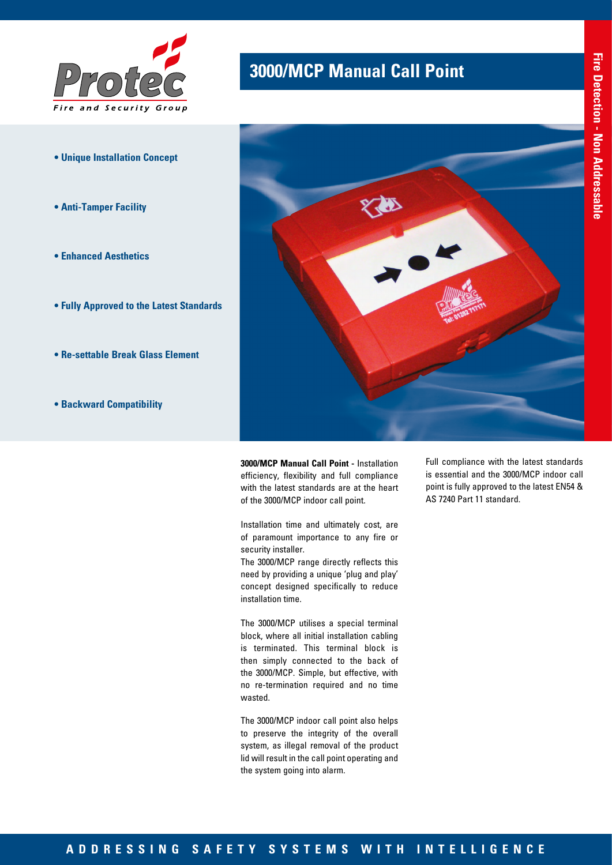

- **Unique Installation Concept**
- **Anti-Tamper Facility**
- **Enhanced Aesthetics**
- **Fully Approved to the Latest Standards**
- **Re-settable Break Glass Element**
- **Backward Compatibility**

### **3000/MCP Manual Call Point**



**3000/MCP Manual Call Point -** Installation efficiency, flexibility and full compliance with the latest standards are at the heart of the 3000/MCP indoor call point.

Installation time and ultimately cost, are of paramount importance to any fire or security installer.

The 3000/MCP range directly reflects this need by providing a unique 'plug and play' concept designed specifically to reduce installation time.

The 3000/MCP utilises a special terminal block, where all initial installation cabling is terminated. This terminal block is then simply connected to the back of the 3000/MCP. Simple, but effective, with no re-termination required and no time wasted.

The 3000/MCP indoor call point also helps to preserve the integrity of the overall system, as illegal removal of the product lid will result in the call point operating and the system going into alarm.

Full compliance with the latest standards is essential and the 3000/MCP indoor call point is fully approved to the latest EN54 & AS 7240 Part 11 standard.